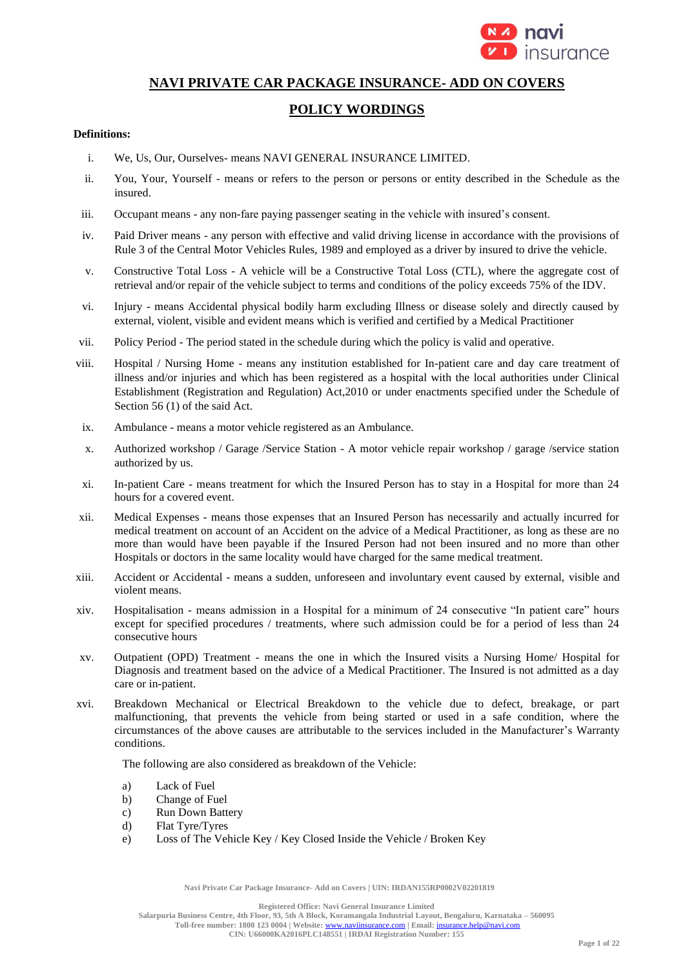

# **NAVI PRIVATE CAR PACKAGE INSURANCE- ADD ON COVERS**

# **POLICY WORDINGS**

### **Definitions:**

- i. We, Us, Our, Ourselves- means NAVI GENERAL INSURANCE LIMITED.
- ii. You, Your, Yourself means or refers to the person or persons or entity described in the Schedule as the insured.
- iii. Occupant means any non-fare paying passenger seating in the vehicle with insured's consent.
- iv. Paid Driver means any person with effective and valid driving license in accordance with the provisions of Rule 3 of the Central Motor Vehicles Rules, 1989 and employed as a driver by insured to drive the vehicle.
- v. Constructive Total Loss A vehicle will be a Constructive Total Loss (CTL), where the aggregate cost of retrieval and/or repair of the vehicle subject to terms and conditions of the policy exceeds 75% of the IDV.
- vi. Injury means Accidental physical bodily harm excluding Illness or disease solely and directly caused by external, violent, visible and evident means which is verified and certified by a Medical Practitioner
- vii. Policy Period The period stated in the schedule during which the policy is valid and operative.
- viii. Hospital / Nursing Home means any institution established for In-patient care and day care treatment of illness and/or injuries and which has been registered as a hospital with the local authorities under Clinical Establishment (Registration and Regulation) Act,2010 or under enactments specified under the Schedule of Section 56 (1) of the said Act.
- ix. Ambulance means a motor vehicle registered as an Ambulance.
- x. Authorized workshop / Garage /Service Station A motor vehicle repair workshop / garage /service station authorized by us.
- xi. In-patient Care means treatment for which the Insured Person has to stay in a Hospital for more than 24 hours for a covered event.
- xii. Medical Expenses means those expenses that an Insured Person has necessarily and actually incurred for medical treatment on account of an Accident on the advice of a Medical Practitioner, as long as these are no more than would have been payable if the Insured Person had not been insured and no more than other Hospitals or doctors in the same locality would have charged for the same medical treatment.
- xiii. Accident or Accidental means a sudden, unforeseen and involuntary event caused by external, visible and violent means.
- xiv. Hospitalisation means admission in a Hospital for a minimum of 24 consecutive "In patient care" hours except for specified procedures / treatments, where such admission could be for a period of less than 24 consecutive hours
- xv. Outpatient (OPD) Treatment means the one in which the Insured visits a Nursing Home/ Hospital for Diagnosis and treatment based on the advice of a Medical Practitioner. The Insured is not admitted as a day care or in-patient.
- xvi. Breakdown Mechanical or Electrical Breakdown to the vehicle due to defect, breakage, or part malfunctioning, that prevents the vehicle from being started or used in a safe condition, where the circumstances of the above causes are attributable to the services included in the Manufacturer's Warranty conditions.

The following are also considered as breakdown of the Vehicle:

- a) Lack of Fuel
- b) Change of Fuel
- c) Run Down Battery
- d) Flat Tyre/Tyres
- e) Loss of The Vehicle Key / Key Closed Inside the Vehicle / Broken Key

**Navi Private Car Package Insurance- Add on Covers | UIN: IRDAN155RP0002V02201819**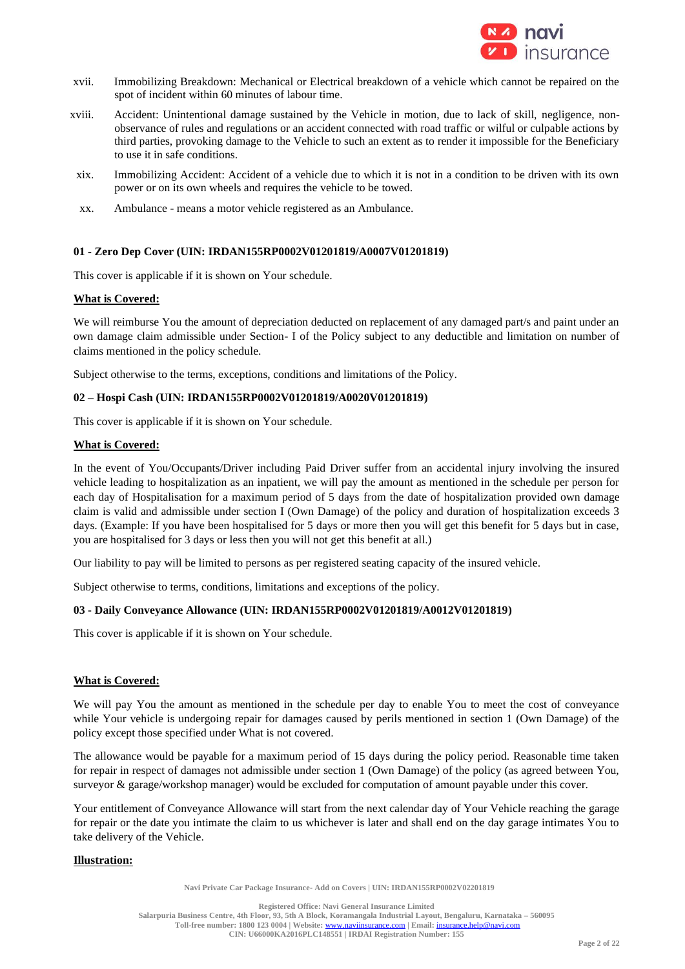

- xvii. Immobilizing Breakdown: Mechanical or Electrical breakdown of a vehicle which cannot be repaired on the spot of incident within 60 minutes of labour time.
- xviii. Accident: Unintentional damage sustained by the Vehicle in motion, due to lack of skill, negligence, nonobservance of rules and regulations or an accident connected with road traffic or wilful or culpable actions by third parties, provoking damage to the Vehicle to such an extent as to render it impossible for the Beneficiary to use it in safe conditions.
- xix. Immobilizing Accident: Accident of a vehicle due to which it is not in a condition to be driven with its own power or on its own wheels and requires the vehicle to be towed.
- xx. Ambulance means a motor vehicle registered as an Ambulance.

# **01 - Zero Dep Cover (UIN: IRDAN155RP0002V01201819/A0007V01201819)**

This cover is applicable if it is shown on Your schedule.

### **What is Covered:**

We will reimburse You the amount of depreciation deducted on replacement of any damaged part/s and paint under an own damage claim admissible under Section- I of the Policy subject to any deductible and limitation on number of claims mentioned in the policy schedule.

Subject otherwise to the terms, exceptions, conditions and limitations of the Policy.

### **02 – Hospi Cash (UIN: IRDAN155RP0002V01201819/A0020V01201819)**

This cover is applicable if it is shown on Your schedule.

### **What is Covered:**

In the event of You/Occupants/Driver including Paid Driver suffer from an accidental injury involving the insured vehicle leading to hospitalization as an inpatient, we will pay the amount as mentioned in the schedule per person for each day of Hospitalisation for a maximum period of 5 days from the date of hospitalization provided own damage claim is valid and admissible under section I (Own Damage) of the policy and duration of hospitalization exceeds 3 days. (Example: If you have been hospitalised for 5 days or more then you will get this benefit for 5 days but in case, you are hospitalised for 3 days or less then you will not get this benefit at all.)

Our liability to pay will be limited to persons as per registered seating capacity of the insured vehicle.

Subject otherwise to terms, conditions, limitations and exceptions of the policy.

#### **03 - Daily Conveyance Allowance (UIN: IRDAN155RP0002V01201819/A0012V01201819)**

This cover is applicable if it is shown on Your schedule.

#### **What is Covered:**

We will pay You the amount as mentioned in the schedule per day to enable You to meet the cost of conveyance while Your vehicle is undergoing repair for damages caused by perils mentioned in section 1 (Own Damage) of the policy except those specified under What is not covered.

The allowance would be payable for a maximum period of 15 days during the policy period. Reasonable time taken for repair in respect of damages not admissible under section 1 (Own Damage) of the policy (as agreed between You, surveyor & garage/workshop manager) would be excluded for computation of amount payable under this cover.

Your entitlement of Conveyance Allowance will start from the next calendar day of Your Vehicle reaching the garage for repair or the date you intimate the claim to us whichever is later and shall end on the day garage intimates You to take delivery of the Vehicle.

# **Illustration:**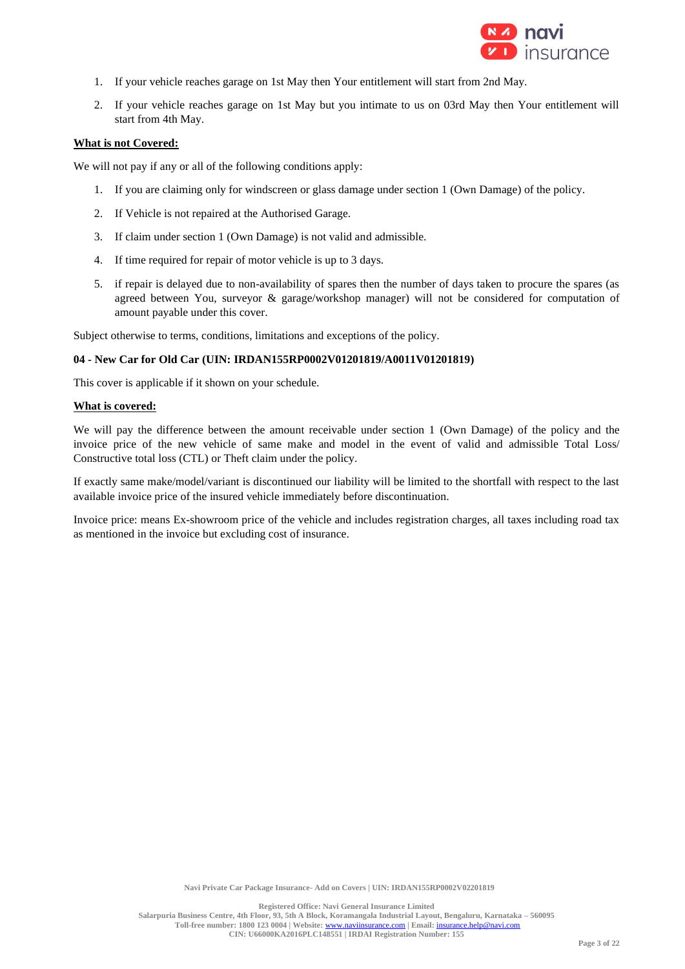

- 1. If your vehicle reaches garage on 1st May then Your entitlement will start from 2nd May.
- 2. If your vehicle reaches garage on 1st May but you intimate to us on 03rd May then Your entitlement will start from 4th May.

### **What is not Covered:**

We will not pay if any or all of the following conditions apply:

- 1. If you are claiming only for windscreen or glass damage under section 1 (Own Damage) of the policy.
- 2. If Vehicle is not repaired at the Authorised Garage.
- 3. If claim under section 1 (Own Damage) is not valid and admissible.
- 4. If time required for repair of motor vehicle is up to 3 days.
- 5. if repair is delayed due to non-availability of spares then the number of days taken to procure the spares (as agreed between You, surveyor & garage/workshop manager) will not be considered for computation of amount payable under this cover.

Subject otherwise to terms, conditions, limitations and exceptions of the policy.

# **04 - New Car for Old Car (UIN: IRDAN155RP0002V01201819/A0011V01201819)**

This cover is applicable if it shown on your schedule.

#### **What is covered:**

We will pay the difference between the amount receivable under section 1 (Own Damage) of the policy and the invoice price of the new vehicle of same make and model in the event of valid and admissible Total Loss/ Constructive total loss (CTL) or Theft claim under the policy.

If exactly same make/model/variant is discontinued our liability will be limited to the shortfall with respect to the last available invoice price of the insured vehicle immediately before discontinuation.

Invoice price: means Ex-showroom price of the vehicle and includes registration charges, all taxes including road tax as mentioned in the invoice but excluding cost of insurance.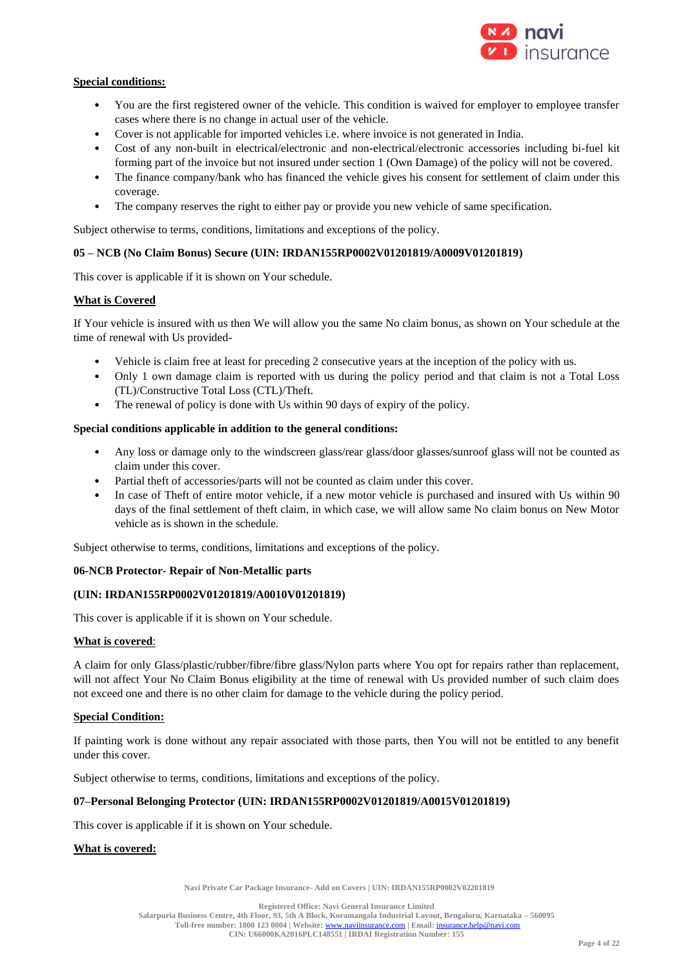

# **Special conditions:**

- You are the first registered owner of the vehicle. This condition is waived for employer to employee transfer cases where there is no change in actual user of the vehicle.
- Cover is not applicable for imported vehicles i.e. where invoice is not generated in India.
- Cost of any non-built in electrical/electronic and non-electrical/electronic accessories including bi-fuel kit forming part of the invoice but not insured under section 1 (Own Damage) of the policy will not be covered.
- The finance company/bank who has financed the vehicle gives his consent for settlement of claim under this coverage.
- The company reserves the right to either pay or provide you new vehicle of same specification.

Subject otherwise to terms, conditions, limitations and exceptions of the policy.

### **05 – NCB (No Claim Bonus) Secure (UIN: IRDAN155RP0002V01201819/A0009V01201819)**

This cover is applicable if it is shown on Your schedule.

# **What is Covered**

If Your vehicle is insured with us then We will allow you the same No claim bonus, as shown on Your schedule at the time of renewal with Us provided-

- Vehicle is claim free at least for preceding 2 consecutive years at the inception of the policy with us.
- Only 1 own damage claim is reported with us during the policy period and that claim is not a Total Loss (TL)/Constructive Total Loss (CTL)/Theft.
- The renewal of policy is done with Us within 90 days of expiry of the policy.

### **Special conditions applicable in addition to the general conditions:**

- Any loss or damage only to the windscreen glass/rear glass/door glasses/sunroof glass will not be counted as claim under this cover.
- Partial theft of accessories/parts will not be counted as claim under this cover.
- In case of Theft of entire motor vehicle, if a new motor vehicle is purchased and insured with Us within 90 days of the final settlement of theft claim, in which case, we will allow same No claim bonus on New Motor vehicle as is shown in the schedule.

Subject otherwise to terms, conditions, limitations and exceptions of the policy.

# **06-NCB Protector- Repair of Non-Metallic parts**

#### **(UIN: IRDAN155RP0002V01201819/A0010V01201819)**

This cover is applicable if it is shown on Your schedule.

#### **What is covered**:

A claim for only Glass/plastic/rubber/fibre/fibre glass/Nylon parts where You opt for repairs rather than replacement, will not affect Your No Claim Bonus eligibility at the time of renewal with Us provided number of such claim does not exceed one and there is no other claim for damage to the vehicle during the policy period.

#### **Special Condition:**

If painting work is done without any repair associated with those parts, then You will not be entitled to any benefit under this cover.

Subject otherwise to terms, conditions, limitations and exceptions of the policy.

#### **07–Personal Belonging Protector (UIN: IRDAN155RP0002V01201819/A0015V01201819)**

This cover is applicable if it is shown on Your schedule.

#### **What is covered:**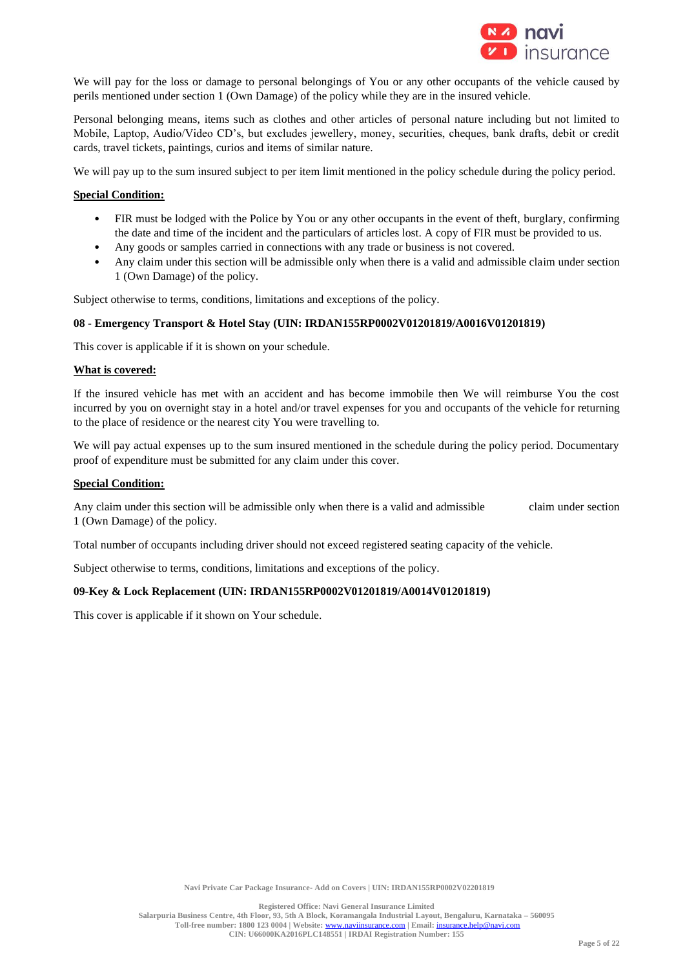

We will pay for the loss or damage to personal belongings of You or any other occupants of the vehicle caused by perils mentioned under section 1 (Own Damage) of the policy while they are in the insured vehicle.

Personal belonging means, items such as clothes and other articles of personal nature including but not limited to Mobile, Laptop, Audio/Video CD's, but excludes jewellery, money, securities, cheques, bank drafts, debit or credit cards, travel tickets, paintings, curios and items of similar nature.

We will pay up to the sum insured subject to per item limit mentioned in the policy schedule during the policy period.

# **Special Condition:**

- FIR must be lodged with the Police by You or any other occupants in the event of theft, burglary, confirming the date and time of the incident and the particulars of articles lost. A copy of FIR must be provided to us.
- Any goods or samples carried in connections with any trade or business is not covered.
- Any claim under this section will be admissible only when there is a valid and admissible claim under section 1 (Own Damage) of the policy.

Subject otherwise to terms, conditions, limitations and exceptions of the policy.

#### **08 - Emergency Transport & Hotel Stay (UIN: IRDAN155RP0002V01201819/A0016V01201819)**

This cover is applicable if it is shown on your schedule.

### **What is covered:**

If the insured vehicle has met with an accident and has become immobile then We will reimburse You the cost incurred by you on overnight stay in a hotel and/or travel expenses for you and occupants of the vehicle for returning to the place of residence or the nearest city You were travelling to.

We will pay actual expenses up to the sum insured mentioned in the schedule during the policy period. Documentary proof of expenditure must be submitted for any claim under this cover.

### **Special Condition:**

Any claim under this section will be admissible only when there is a valid and admissible claim under section 1 (Own Damage) of the policy.

Total number of occupants including driver should not exceed registered seating capacity of the vehicle.

Subject otherwise to terms, conditions, limitations and exceptions of the policy.

### **09-Key & Lock Replacement (UIN: IRDAN155RP0002V01201819/A0014V01201819)**

This cover is applicable if it shown on Your schedule.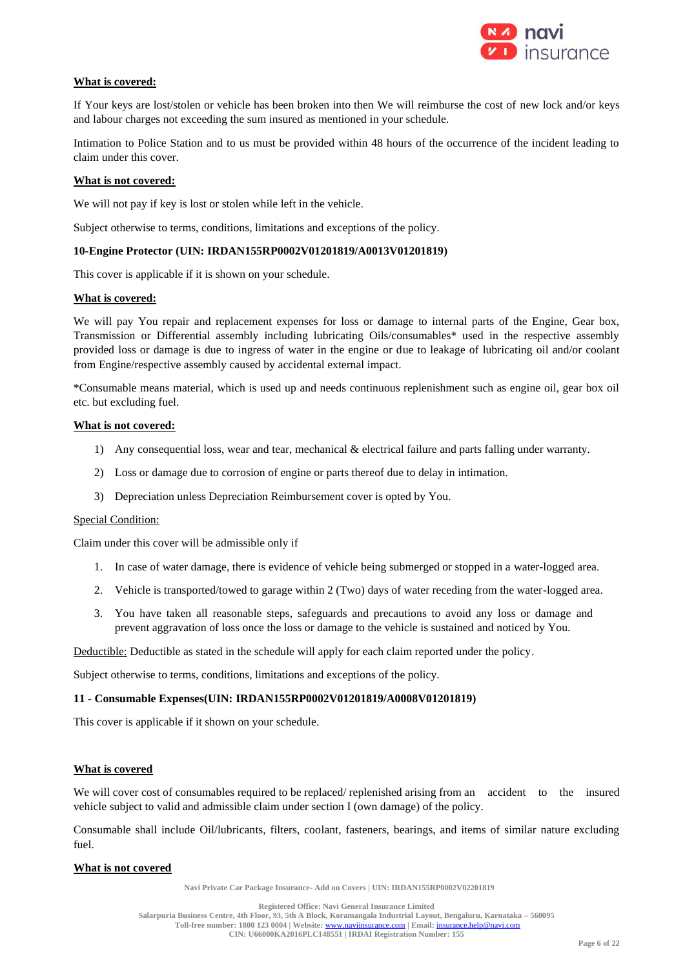

# **What is covered:**

If Your keys are lost/stolen or vehicle has been broken into then We will reimburse the cost of new lock and/or keys and labour charges not exceeding the sum insured as mentioned in your schedule.

Intimation to Police Station and to us must be provided within 48 hours of the occurrence of the incident leading to claim under this cover.

### **What is not covered:**

We will not pay if key is lost or stolen while left in the vehicle.

Subject otherwise to terms, conditions, limitations and exceptions of the policy.

### **10-Engine Protector (UIN: IRDAN155RP0002V01201819/A0013V01201819)**

This cover is applicable if it is shown on your schedule.

### **What is covered:**

We will pay You repair and replacement expenses for loss or damage to internal parts of the Engine, Gear box, Transmission or Differential assembly including lubricating Oils/consumables\* used in the respective assembly provided loss or damage is due to ingress of water in the engine or due to leakage of lubricating oil and/or coolant from Engine/respective assembly caused by accidental external impact.

\*Consumable means material, which is used up and needs continuous replenishment such as engine oil, gear box oil etc. but excluding fuel.

### **What is not covered:**

- 1) Any consequential loss, wear and tear, mechanical & electrical failure and parts falling under warranty.
- 2) Loss or damage due to corrosion of engine or parts thereof due to delay in intimation.
- 3) Depreciation unless Depreciation Reimbursement cover is opted by You.

#### Special Condition:

Claim under this cover will be admissible only if

- 1. In case of water damage, there is evidence of vehicle being submerged or stopped in a water-logged area.
- 2. Vehicle is transported/towed to garage within 2 (Two) days of water receding from the water-logged area.
- 3. You have taken all reasonable steps, safeguards and precautions to avoid any loss or damage and prevent aggravation of loss once the loss or damage to the vehicle is sustained and noticed by You.

Deductible: Deductible as stated in the schedule will apply for each claim reported under the policy.

Subject otherwise to terms, conditions, limitations and exceptions of the policy.

# **11 - Consumable Expenses(UIN: IRDAN155RP0002V01201819/A0008V01201819)**

This cover is applicable if it shown on your schedule.

# **What is covered**

We will cover cost of consumables required to be replaced/ replenished arising from an accident to the insured vehicle subject to valid and admissible claim under section I (own damage) of the policy.

Consumable shall include Oil/lubricants, filters, coolant, fasteners, bearings, and items of similar nature excluding fuel.

# **What is not covered**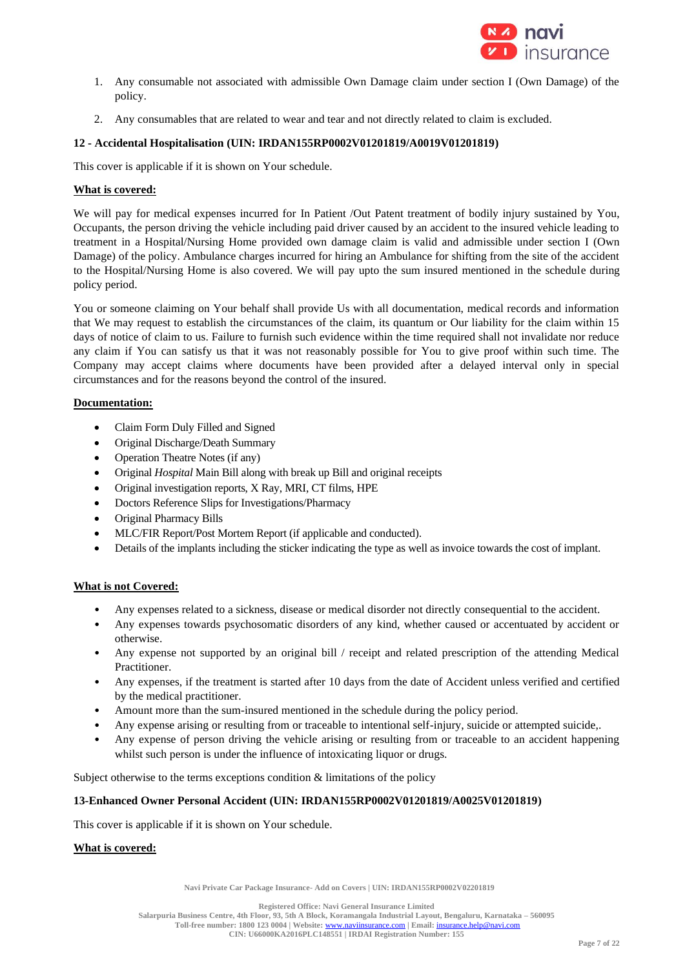

- 1. Any consumable not associated with admissible Own Damage claim under section I (Own Damage) of the policy.
- 2. Any consumables that are related to wear and tear and not directly related to claim is excluded.

# **12 - Accidental Hospitalisation (UIN: IRDAN155RP0002V01201819/A0019V01201819)**

This cover is applicable if it is shown on Your schedule.

# **What is covered:**

We will pay for medical expenses incurred for In Patient /Out Patent treatment of bodily injury sustained by You, Occupants, the person driving the vehicle including paid driver caused by an accident to the insured vehicle leading to treatment in a Hospital/Nursing Home provided own damage claim is valid and admissible under section I (Own Damage) of the policy. Ambulance charges incurred for hiring an Ambulance for shifting from the site of the accident to the Hospital/Nursing Home is also covered. We will pay upto the sum insured mentioned in the schedule during policy period.

You or someone claiming on Your behalf shall provide Us with all documentation, medical records and information that We may request to establish the circumstances of the claim, its quantum or Our liability for the claim within 15 days of notice of claim to us. Failure to furnish such evidence within the time required shall not invalidate nor reduce any claim if You can satisfy us that it was not reasonably possible for You to give proof within such time. The Company may accept claims where documents have been provided after a delayed interval only in special circumstances and for the reasons beyond the control of the insured.

# **Documentation:**

- Claim Form Duly Filled and Signed
- Original Discharge/Death Summary
- Operation Theatre Notes (if any)
- Original *Hospital* Main Bill along with break up Bill and original receipts
- Original investigation reports, X Ray, MRI, CT films, HPE
- Doctors Reference Slips for Investigations/Pharmacy
- Original Pharmacy Bills
- MLC/FIR Report/Post Mortem Report (if applicable and conducted).
- Details of the implants including the sticker indicating the type as well as invoice towards the cost of implant.

# **What is not Covered:**

- Any expenses related to a sickness, disease or medical disorder not directly consequential to the accident.
- Any expenses towards psychosomatic disorders of any kind, whether caused or accentuated by accident or otherwise.
- Any expense not supported by an original bill / receipt and related prescription of the attending Medical Practitioner.
- Any expenses, if the treatment is started after 10 days from the date of Accident unless verified and certified by the medical practitioner.
- Amount more than the sum-insured mentioned in the schedule during the policy period.
- Any expense arising or resulting from or traceable to intentional self-injury, suicide or attempted suicide,.
- Any expense of person driving the vehicle arising or resulting from or traceable to an accident happening whilst such person is under the influence of intoxicating liquor or drugs.

Subject otherwise to the terms exceptions condition & limitations of the policy

# **13-Enhanced Owner Personal Accident (UIN: IRDAN155RP0002V01201819/A0025V01201819)**

This cover is applicable if it is shown on Your schedule.

# **What is covered:**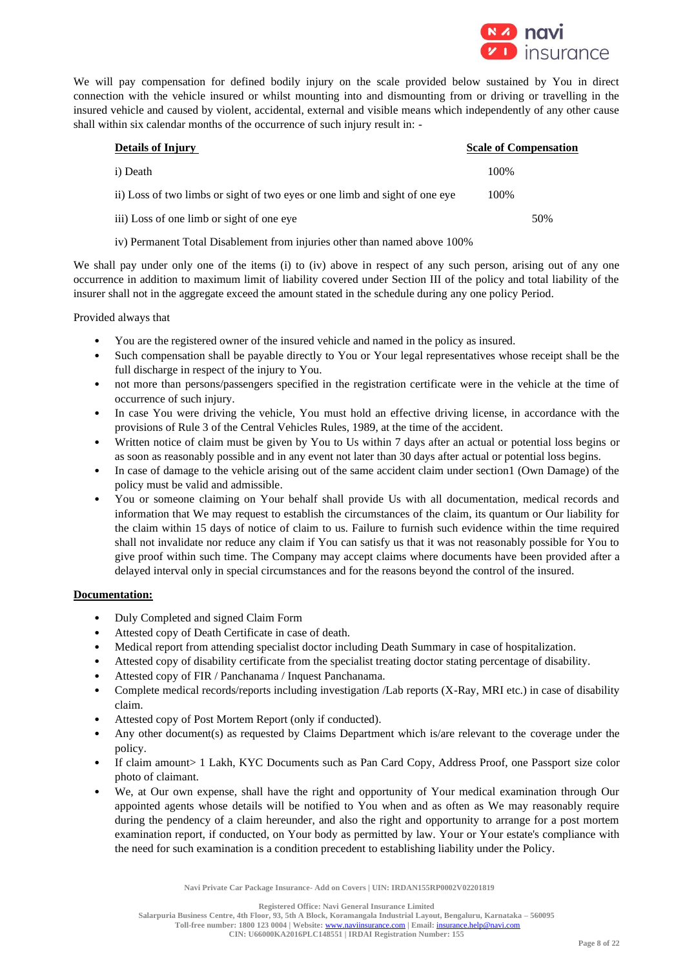

We will pay compensation for defined bodily injury on the scale provided below sustained by You in direct connection with the vehicle insured or whilst mounting into and dismounting from or driving or travelling in the insured vehicle and caused by violent, accidental, external and visible means which independently of any other cause shall within six calendar months of the occurrence of such injury result in: -

| <b>Details of Injury</b>                                                    | <b>Scale of Compensation</b> |
|-----------------------------------------------------------------------------|------------------------------|
| i) Death                                                                    | 100\%                        |
| ii) Loss of two limbs or sight of two eyes or one limb and sight of one eye | 100\%                        |
| iii) Loss of one limb or sight of one eye                                   | 50%                          |
|                                                                             |                              |

iv) Permanent Total Disablement from injuries other than named above 100%

We shall pay under only one of the items (i) to (iv) above in respect of any such person, arising out of any one occurrence in addition to maximum limit of liability covered under Section III of the policy and total liability of the insurer shall not in the aggregate exceed the amount stated in the schedule during any one policy Period.

Provided always that

- You are the registered owner of the insured vehicle and named in the policy as insured.
- Such compensation shall be payable directly to You or Your legal representatives whose receipt shall be the full discharge in respect of the injury to You.
- not more than persons/passengers specified in the registration certificate were in the vehicle at the time of occurrence of such injury.
- In case You were driving the vehicle, You must hold an effective driving license, in accordance with the provisions of Rule 3 of the Central Vehicles Rules, 1989, at the time of the accident.
- Written notice of claim must be given by You to Us within 7 days after an actual or potential loss begins or as soon as reasonably possible and in any event not later than 30 days after actual or potential loss begins.
- In case of damage to the vehicle arising out of the same accident claim under section1 (Own Damage) of the policy must be valid and admissible.
- You or someone claiming on Your behalf shall provide Us with all documentation, medical records and information that We may request to establish the circumstances of the claim, its quantum or Our liability for the claim within 15 days of notice of claim to us. Failure to furnish such evidence within the time required shall not invalidate nor reduce any claim if You can satisfy us that it was not reasonably possible for You to give proof within such time. The Company may accept claims where documents have been provided after a delayed interval only in special circumstances and for the reasons beyond the control of the insured.

# **Documentation:**

- Duly Completed and signed Claim Form
- Attested copy of Death Certificate in case of death.
- Medical report from attending specialist doctor including Death Summary in case of hospitalization.
- Attested copy of disability certificate from the specialist treating doctor stating percentage of disability.
- Attested copy of FIR / Panchanama / Inquest Panchanama.
- Complete medical records/reports including investigation /Lab reports (X-Ray, MRI etc.) in case of disability claim.
- Attested copy of Post Mortem Report (only if conducted).
- Any other document(s) as requested by Claims Department which is/are relevant to the coverage under the policy.
- If claim amount > 1 Lakh, KYC Documents such as Pan Card Copy, Address Proof, one Passport size color photo of claimant.
- We, at Our own expense, shall have the right and opportunity of Your medical examination through Our appointed agents whose details will be notified to You when and as often as We may reasonably require during the pendency of a claim hereunder, and also the right and opportunity to arrange for a post mortem examination report, if conducted, on Your body as permitted by law. Your or Your estate's compliance with the need for such examination is a condition precedent to establishing liability under the Policy.

**Navi Private Car Package Insurance- Add on Covers | UIN: IRDAN155RP0002V02201819**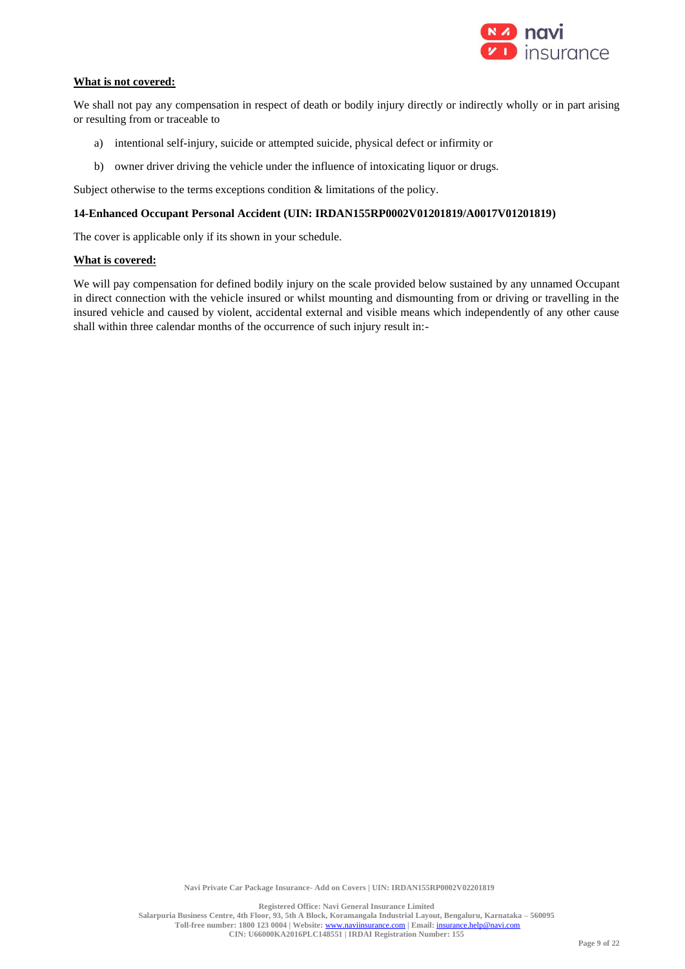

# **What is not covered:**

We shall not pay any compensation in respect of death or bodily injury directly or indirectly wholly or in part arising or resulting from or traceable to

- a) intentional self-injury, suicide or attempted suicide, physical defect or infirmity or
- b) owner driver driving the vehicle under the influence of intoxicating liquor or drugs.

Subject otherwise to the terms exceptions condition & limitations of the policy.

#### **14-Enhanced Occupant Personal Accident (UIN: IRDAN155RP0002V01201819/A0017V01201819)**

The cover is applicable only if its shown in your schedule.

#### **What is covered:**

We will pay compensation for defined bodily injury on the scale provided below sustained by any unnamed Occupant in direct connection with the vehicle insured or whilst mounting and dismounting from or driving or travelling in the insured vehicle and caused by violent, accidental external and visible means which independently of any other cause shall within three calendar months of the occurrence of such injury result in:-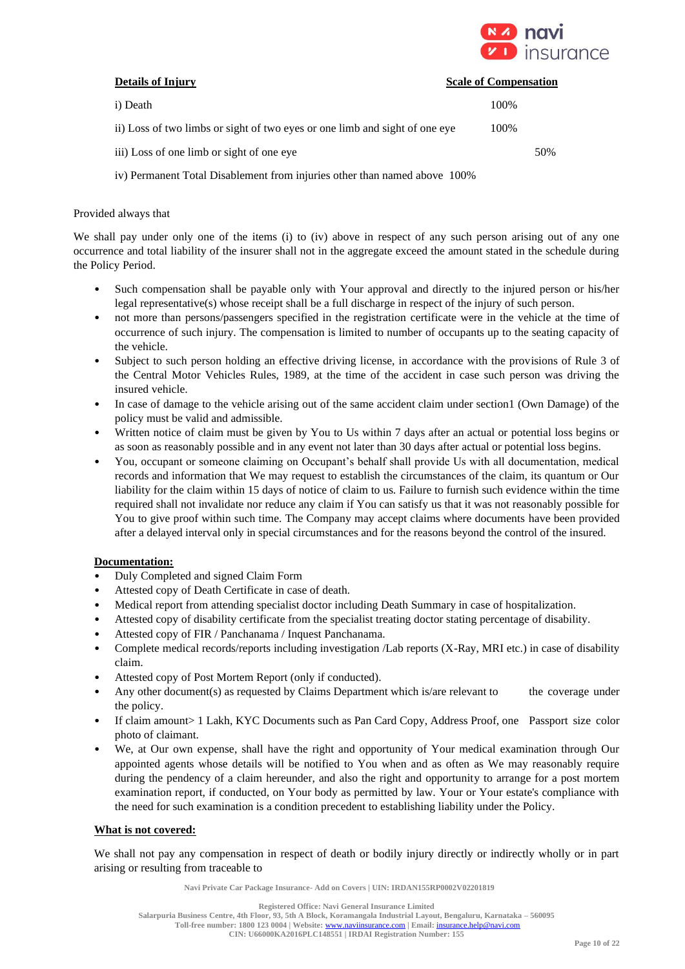

| <b>Details of Injury</b>                                                    | <b>Scale of Compensation</b> |
|-----------------------------------------------------------------------------|------------------------------|
| i) Death                                                                    | 100%                         |
| ii) Loss of two limbs or sight of two eyes or one limb and sight of one eye | 100%                         |
| iii) Loss of one limb or sight of one eye                                   | 50%                          |
|                                                                             |                              |

iv) Permanent Total Disablement from injuries other than named above 100%

# Provided always that

We shall pay under only one of the items (i) to (iv) above in respect of any such person arising out of any one occurrence and total liability of the insurer shall not in the aggregate exceed the amount stated in the schedule during the Policy Period.

- Such compensation shall be payable only with Your approval and directly to the injured person or his/her legal representative(s) whose receipt shall be a full discharge in respect of the injury of such person.
- not more than persons/passengers specified in the registration certificate were in the vehicle at the time of occurrence of such injury. The compensation is limited to number of occupants up to the seating capacity of the vehicle.
- Subject to such person holding an effective driving license, in accordance with the provisions of Rule 3 of the Central Motor Vehicles Rules, 1989, at the time of the accident in case such person was driving the insured vehicle.
- In case of damage to the vehicle arising out of the same accident claim under section1 (Own Damage) of the policy must be valid and admissible.
- Written notice of claim must be given by You to Us within 7 days after an actual or potential loss begins or as soon as reasonably possible and in any event not later than 30 days after actual or potential loss begins.
- You, occupant or someone claiming on Occupant's behalf shall provide Us with all documentation, medical records and information that We may request to establish the circumstances of the claim, its quantum or Our liability for the claim within 15 days of notice of claim to us. Failure to furnish such evidence within the time required shall not invalidate nor reduce any claim if You can satisfy us that it was not reasonably possible for You to give proof within such time. The Company may accept claims where documents have been provided after a delayed interval only in special circumstances and for the reasons beyond the control of the insured.

# **Documentation:**

- Duly Completed and signed Claim Form
- Attested copy of Death Certificate in case of death.
- Medical report from attending specialist doctor including Death Summary in case of hospitalization.
- Attested copy of disability certificate from the specialist treating doctor stating percentage of disability.
- Attested copy of FIR / Panchanama / Inquest Panchanama.
- Complete medical records/reports including investigation /Lab reports (X-Ray, MRI etc.) in case of disability claim.
- Attested copy of Post Mortem Report (only if conducted).
- Any other document(s) as requested by Claims Department which is/are relevant to the coverage under the policy.
- If claim amount> 1 Lakh, KYC Documents such as Pan Card Copy, Address Proof, one Passport size color photo of claimant.
- We, at Our own expense, shall have the right and opportunity of Your medical examination through Our appointed agents whose details will be notified to You when and as often as We may reasonably require during the pendency of a claim hereunder, and also the right and opportunity to arrange for a post mortem examination report, if conducted, on Your body as permitted by law. Your or Your estate's compliance with the need for such examination is a condition precedent to establishing liability under the Policy.

# **What is not covered:**

We shall not pay any compensation in respect of death or bodily injury directly or indirectly wholly or in part arising or resulting from traceable to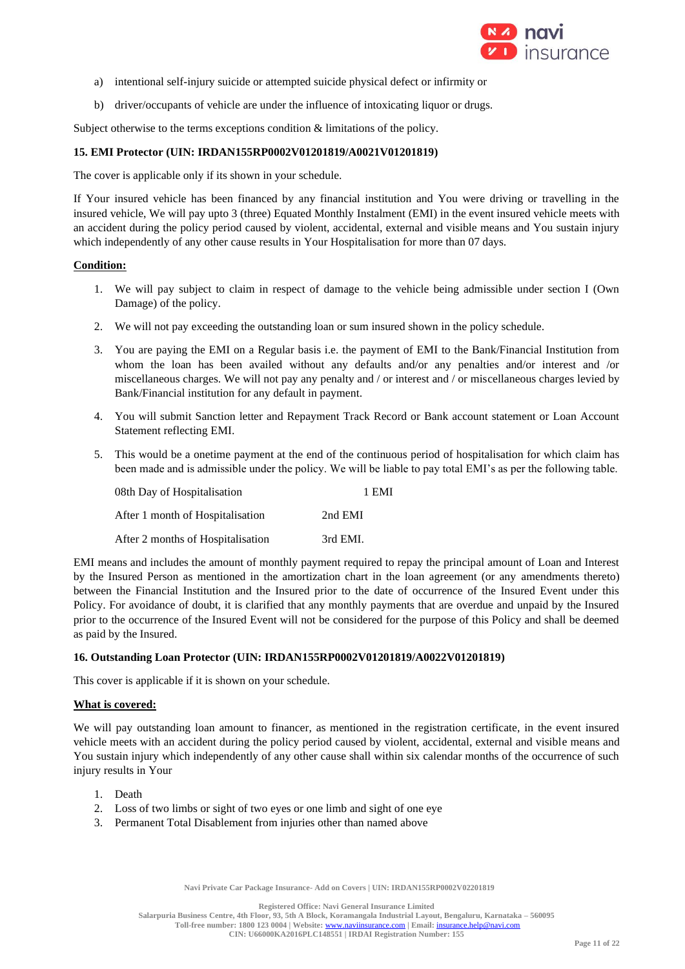

- a) intentional self-injury suicide or attempted suicide physical defect or infirmity or
- b) driver/occupants of vehicle are under the influence of intoxicating liquor or drugs.

Subject otherwise to the terms exceptions condition & limitations of the policy.

### **15. EMI Protector (UIN: IRDAN155RP0002V01201819/A0021V01201819)**

The cover is applicable only if its shown in your schedule.

If Your insured vehicle has been financed by any financial institution and You were driving or travelling in the insured vehicle, We will pay upto 3 (three) Equated Monthly Instalment (EMI) in the event insured vehicle meets with an accident during the policy period caused by violent, accidental, external and visible means and You sustain injury which independently of any other cause results in Your Hospitalisation for more than 07 days.

### **Condition:**

- 1. We will pay subject to claim in respect of damage to the vehicle being admissible under section I (Own Damage) of the policy.
- 2. We will not pay exceeding the outstanding loan or sum insured shown in the policy schedule.
- 3. You are paying the EMI on a Regular basis i.e. the payment of EMI to the Bank/Financial Institution from whom the loan has been availed without any defaults and/or any penalties and/or interest and /or miscellaneous charges. We will not pay any penalty and / or interest and / or miscellaneous charges levied by Bank/Financial institution for any default in payment.
- 4. You will submit Sanction letter and Repayment Track Record or Bank account statement or Loan Account Statement reflecting EMI.
- 5. This would be a onetime payment at the end of the continuous period of hospitalisation for which claim has been made and is admissible under the policy. We will be liable to pay total EMI's as per the following table.

| 08th Day of Hospitalisation       | 1 EMI    |
|-----------------------------------|----------|
| After 1 month of Hospitalisation  | 2nd EMI  |
| After 2 months of Hospitalisation | 3rd EMI. |

EMI means and includes the amount of monthly payment required to repay the principal amount of Loan and Interest by the Insured Person as mentioned in the amortization chart in the loan agreement (or any amendments thereto) between the Financial Institution and the Insured prior to the date of occurrence of the Insured Event under this Policy. For avoidance of doubt, it is clarified that any monthly payments that are overdue and unpaid by the Insured prior to the occurrence of the Insured Event will not be considered for the purpose of this Policy and shall be deemed as paid by the Insured.

#### **16. Outstanding Loan Protector (UIN: IRDAN155RP0002V01201819/A0022V01201819)**

This cover is applicable if it is shown on your schedule.

#### **What is covered:**

We will pay outstanding loan amount to financer, as mentioned in the registration certificate, in the event insured vehicle meets with an accident during the policy period caused by violent, accidental, external and visible means and You sustain injury which independently of any other cause shall within six calendar months of the occurrence of such injury results in Your

- 1. Death
- 2. Loss of two limbs or sight of two eyes or one limb and sight of one eye
- 3. Permanent Total Disablement from injuries other than named above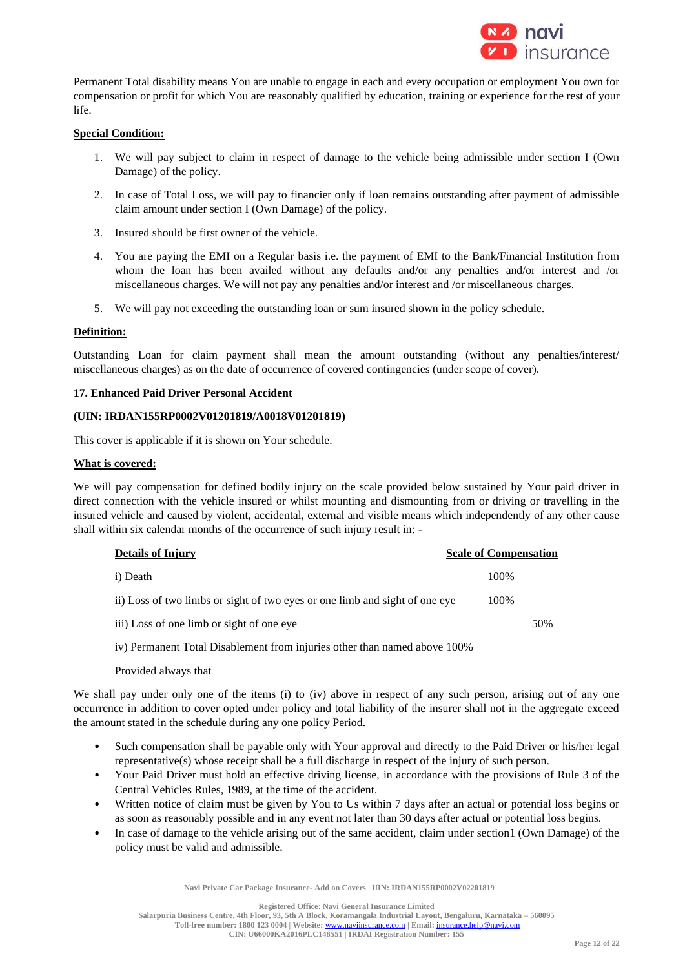

Permanent Total disability means You are unable to engage in each and every occupation or employment You own for compensation or profit for which You are reasonably qualified by education, training or experience for the rest of your life.

# **Special Condition:**

- 1. We will pay subject to claim in respect of damage to the vehicle being admissible under section I (Own Damage) of the policy.
- 2. In case of Total Loss, we will pay to financier only if loan remains outstanding after payment of admissible claim amount under section I (Own Damage) of the policy.
- 3. Insured should be first owner of the vehicle.
- 4. You are paying the EMI on a Regular basis i.e. the payment of EMI to the Bank/Financial Institution from whom the loan has been availed without any defaults and/or any penalties and/or interest and /or miscellaneous charges. We will not pay any penalties and/or interest and /or miscellaneous charges.
- 5. We will pay not exceeding the outstanding loan or sum insured shown in the policy schedule.

# **Definition:**

Outstanding Loan for claim payment shall mean the amount outstanding (without any penalties/interest/ miscellaneous charges) as on the date of occurrence of covered contingencies (under scope of cover).

# **17. Enhanced Paid Driver Personal Accident**

### **(UIN: IRDAN155RP0002V01201819/A0018V01201819)**

This cover is applicable if it is shown on Your schedule.

### **What is covered:**

We will pay compensation for defined bodily injury on the scale provided below sustained by Your paid driver in direct connection with the vehicle insured or whilst mounting and dismounting from or driving or travelling in the insured vehicle and caused by violent, accidental, external and visible means which independently of any other cause shall within six calendar months of the occurrence of such injury result in: -

| <b>Details of Injury</b>                                                    | <b>Scale of Compensation</b> |
|-----------------------------------------------------------------------------|------------------------------|
| i) Death                                                                    | 100\%                        |
| ii) Loss of two limbs or sight of two eyes or one limb and sight of one eye | 100%                         |
| iii) Loss of one limb or sight of one eye                                   | 50%                          |
|                                                                             |                              |

iv) Permanent Total Disablement from injuries other than named above 100%

#### Provided always that

We shall pay under only one of the items (i) to (iv) above in respect of any such person, arising out of any one occurrence in addition to cover opted under policy and total liability of the insurer shall not in the aggregate exceed the amount stated in the schedule during any one policy Period.

- Such compensation shall be payable only with Your approval and directly to the Paid Driver or his/her legal representative(s) whose receipt shall be a full discharge in respect of the injury of such person.
- Your Paid Driver must hold an effective driving license, in accordance with the provisions of Rule 3 of the Central Vehicles Rules, 1989, at the time of the accident.
- Written notice of claim must be given by You to Us within 7 days after an actual or potential loss begins or as soon as reasonably possible and in any event not later than 30 days after actual or potential loss begins.
- In case of damage to the vehicle arising out of the same accident, claim under section1 (Own Damage) of the policy must be valid and admissible.

**Navi Private Car Package Insurance- Add on Covers | UIN: IRDAN155RP0002V02201819**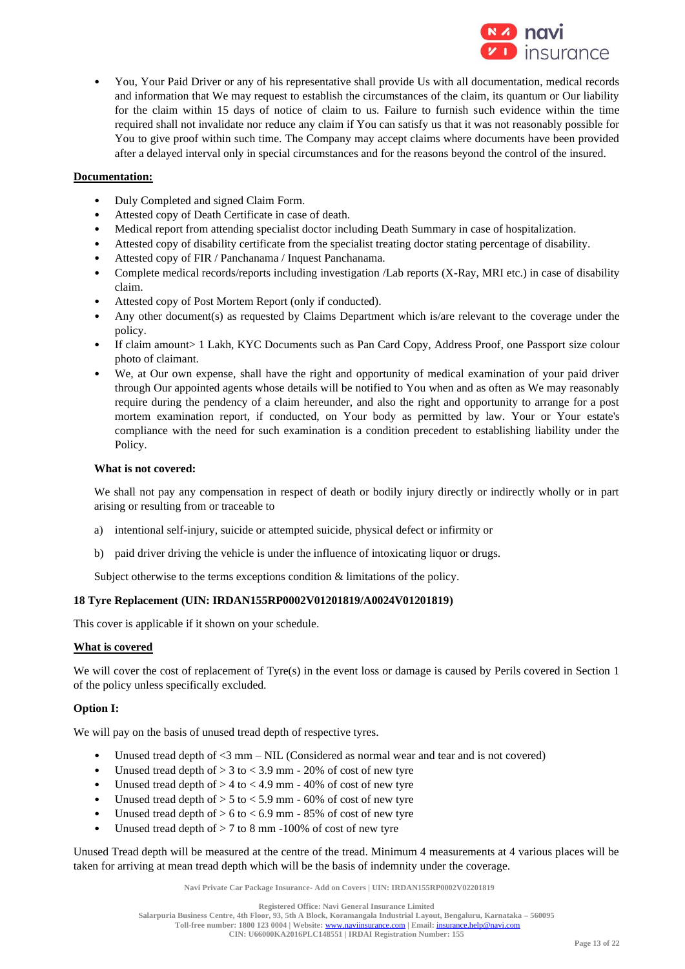

• You, Your Paid Driver or any of his representative shall provide Us with all documentation, medical records and information that We may request to establish the circumstances of the claim, its quantum or Our liability for the claim within 15 days of notice of claim to us. Failure to furnish such evidence within the time required shall not invalidate nor reduce any claim if You can satisfy us that it was not reasonably possible for You to give proof within such time. The Company may accept claims where documents have been provided after a delayed interval only in special circumstances and for the reasons beyond the control of the insured.

# **Documentation:**

- Duly Completed and signed Claim Form.
- Attested copy of Death Certificate in case of death.
- Medical report from attending specialist doctor including Death Summary in case of hospitalization.
- Attested copy of disability certificate from the specialist treating doctor stating percentage of disability.
- Attested copy of FIR / Panchanama / Inquest Panchanama.
- Complete medical records/reports including investigation /Lab reports (X-Ray, MRI etc.) in case of disability claim.
- Attested copy of Post Mortem Report (only if conducted).
- Any other document(s) as requested by Claims Department which is/are relevant to the coverage under the policy.
- If claim amount> 1 Lakh, KYC Documents such as Pan Card Copy, Address Proof, one Passport size colour photo of claimant.
- We, at Our own expense, shall have the right and opportunity of medical examination of your paid driver through Our appointed agents whose details will be notified to You when and as often as We may reasonably require during the pendency of a claim hereunder, and also the right and opportunity to arrange for a post mortem examination report, if conducted, on Your body as permitted by law. Your or Your estate's compliance with the need for such examination is a condition precedent to establishing liability under the Policy.

### **What is not covered:**

We shall not pay any compensation in respect of death or bodily injury directly or indirectly wholly or in part arising or resulting from or traceable to

- a) intentional self-injury, suicide or attempted suicide, physical defect or infirmity or
- b) paid driver driving the vehicle is under the influence of intoxicating liquor or drugs.

Subject otherwise to the terms exceptions condition & limitations of the policy.

# **18 Tyre Replacement (UIN: IRDAN155RP0002V01201819/A0024V01201819)**

This cover is applicable if it shown on your schedule.

### **What is covered**

We will cover the cost of replacement of Tyre(s) in the event loss or damage is caused by Perils covered in Section 1 of the policy unless specifically excluded.

# **Option I:**

We will pay on the basis of unused tread depth of respective tyres.

- Unused tread depth of  $\leq 3$  mm NIL (Considered as normal wear and tear and is not covered)
- Unused tread depth of  $> 3$  to  $< 3.9$  mm 20% of cost of new tyre
- Unused tread depth of  $> 4$  to  $< 4.9$  mm 40% of cost of new tyre
- Unused tread depth of  $> 5$  to  $< 5.9$  mm 60% of cost of new tyre
- Unused tread depth of  $> 6$  to  $< 6.9$  mm 85% of cost of new tyre
- Unused tread depth of > 7 to 8 mm -100% of cost of new tyre

Unused Tread depth will be measured at the centre of the tread. Minimum 4 measurements at 4 various places will be taken for arriving at mean tread depth which will be the basis of indemnity under the coverage.

**Navi Private Car Package Insurance- Add on Covers | UIN: IRDAN155RP0002V02201819**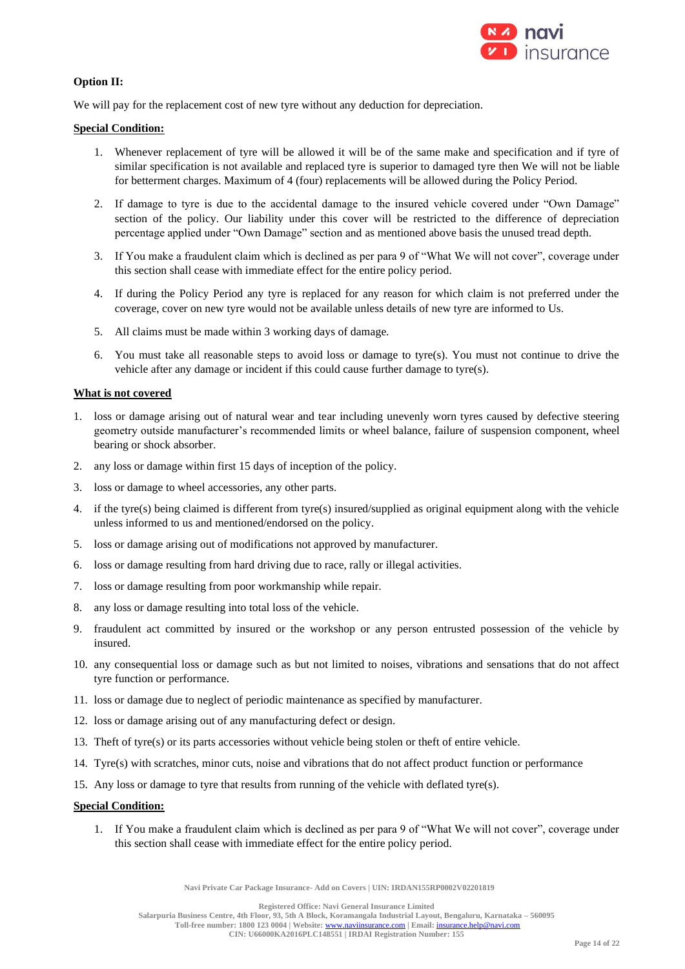

# **Option II:**

We will pay for the replacement cost of new tyre without any deduction for depreciation.

### **Special Condition:**

- 1. Whenever replacement of tyre will be allowed it will be of the same make and specification and if tyre of similar specification is not available and replaced tyre is superior to damaged tyre then We will not be liable for betterment charges. Maximum of 4 (four) replacements will be allowed during the Policy Period.
- 2. If damage to tyre is due to the accidental damage to the insured vehicle covered under "Own Damage" section of the policy. Our liability under this cover will be restricted to the difference of depreciation percentage applied under "Own Damage" section and as mentioned above basis the unused tread depth.
- 3. If You make a fraudulent claim which is declined as per para 9 of "What We will not cover", coverage under this section shall cease with immediate effect for the entire policy period.
- 4. If during the Policy Period any tyre is replaced for any reason for which claim is not preferred under the coverage, cover on new tyre would not be available unless details of new tyre are informed to Us.
- 5. All claims must be made within 3 working days of damage.
- 6. You must take all reasonable steps to avoid loss or damage to tyre(s). You must not continue to drive the vehicle after any damage or incident if this could cause further damage to tyre(s).

### **What is not covered**

- 1. loss or damage arising out of natural wear and tear including unevenly worn tyres caused by defective steering geometry outside manufacturer's recommended limits or wheel balance, failure of suspension component, wheel bearing or shock absorber.
- 2. any loss or damage within first 15 days of inception of the policy.
- 3. loss or damage to wheel accessories, any other parts.
- 4. if the tyre(s) being claimed is different from tyre(s) insured/supplied as original equipment along with the vehicle unless informed to us and mentioned/endorsed on the policy.
- 5. loss or damage arising out of modifications not approved by manufacturer.
- 6. loss or damage resulting from hard driving due to race, rally or illegal activities.
- 7. loss or damage resulting from poor workmanship while repair.
- 8. any loss or damage resulting into total loss of the vehicle.
- 9. fraudulent act committed by insured or the workshop or any person entrusted possession of the vehicle by insured.
- 10. any consequential loss or damage such as but not limited to noises, vibrations and sensations that do not affect tyre function or performance.
- 11. loss or damage due to neglect of periodic maintenance as specified by manufacturer.
- 12. loss or damage arising out of any manufacturing defect or design.
- 13. Theft of tyre(s) or its parts accessories without vehicle being stolen or theft of entire vehicle.
- 14. Tyre(s) with scratches, minor cuts, noise and vibrations that do not affect product function or performance
- 15. Any loss or damage to tyre that results from running of the vehicle with deflated tyre(s).

# **Special Condition:**

1. If You make a fraudulent claim which is declined as per para 9 of "What We will not cover", coverage under this section shall cease with immediate effect for the entire policy period.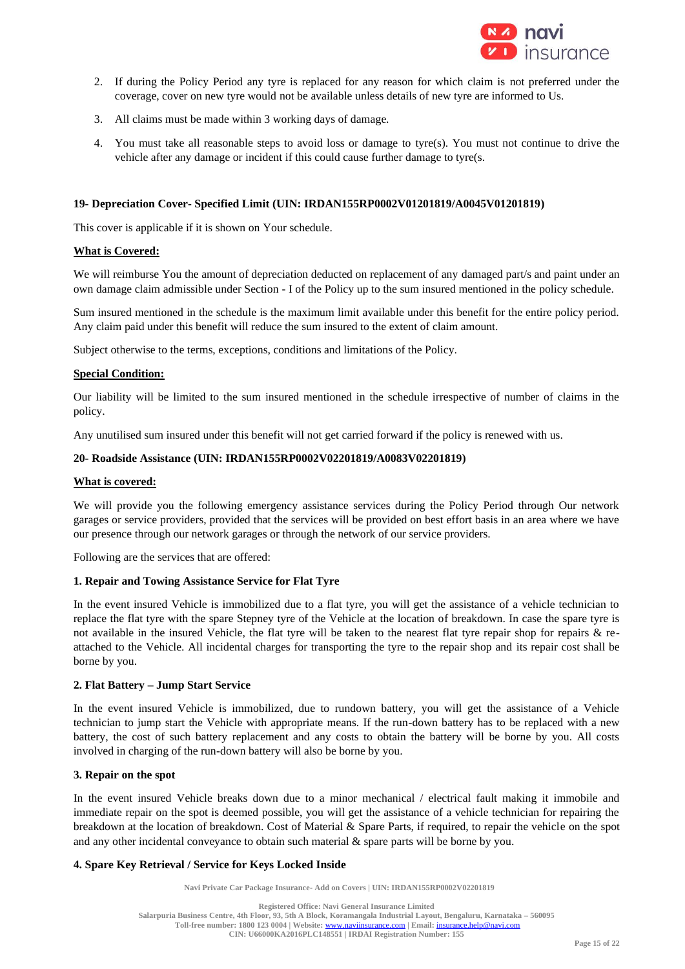

- 2. If during the Policy Period any tyre is replaced for any reason for which claim is not preferred under the coverage, cover on new tyre would not be available unless details of new tyre are informed to Us.
- 3. All claims must be made within 3 working days of damage.
- 4. You must take all reasonable steps to avoid loss or damage to tyre(s). You must not continue to drive the vehicle after any damage or incident if this could cause further damage to tyre(s.

#### **19- Depreciation Cover- Specified Limit (UIN: IRDAN155RP0002V01201819/A0045V01201819)**

This cover is applicable if it is shown on Your schedule.

### **What is Covered:**

We will reimburse You the amount of depreciation deducted on replacement of any damaged part/s and paint under an own damage claim admissible under Section - I of the Policy up to the sum insured mentioned in the policy schedule.

Sum insured mentioned in the schedule is the maximum limit available under this benefit for the entire policy period. Any claim paid under this benefit will reduce the sum insured to the extent of claim amount.

Subject otherwise to the terms, exceptions, conditions and limitations of the Policy.

### **Special Condition:**

Our liability will be limited to the sum insured mentioned in the schedule irrespective of number of claims in the policy.

Any unutilised sum insured under this benefit will not get carried forward if the policy is renewed with us.

#### **20- Roadside Assistance (UIN: IRDAN155RP0002V02201819/A0083V02201819)**

#### **What is covered:**

We will provide you the following emergency assistance services during the Policy Period through Our network garages or service providers, provided that the services will be provided on best effort basis in an area where we have our presence through our network garages or through the network of our service providers.

Following are the services that are offered:

#### **1. Repair and Towing Assistance Service for Flat Tyre**

In the event insured Vehicle is immobilized due to a flat tyre, you will get the assistance of a vehicle technician to replace the flat tyre with the spare Stepney tyre of the Vehicle at the location of breakdown. In case the spare tyre is not available in the insured Vehicle, the flat tyre will be taken to the nearest flat tyre repair shop for repairs & reattached to the Vehicle. All incidental charges for transporting the tyre to the repair shop and its repair cost shall be borne by you.

### **2. Flat Battery – Jump Start Service**

In the event insured Vehicle is immobilized, due to rundown battery, you will get the assistance of a Vehicle technician to jump start the Vehicle with appropriate means. If the run-down battery has to be replaced with a new battery, the cost of such battery replacement and any costs to obtain the battery will be borne by you. All costs involved in charging of the run-down battery will also be borne by you.

#### **3. Repair on the spot**

In the event insured Vehicle breaks down due to a minor mechanical / electrical fault making it immobile and immediate repair on the spot is deemed possible, you will get the assistance of a vehicle technician for repairing the breakdown at the location of breakdown. Cost of Material & Spare Parts, if required, to repair the vehicle on the spot and any other incidental conveyance to obtain such material  $\&$  spare parts will be borne by you.

# **4. Spare Key Retrieval / Service for Keys Locked Inside**

**Navi Private Car Package Insurance- Add on Covers | UIN: IRDAN155RP0002V02201819**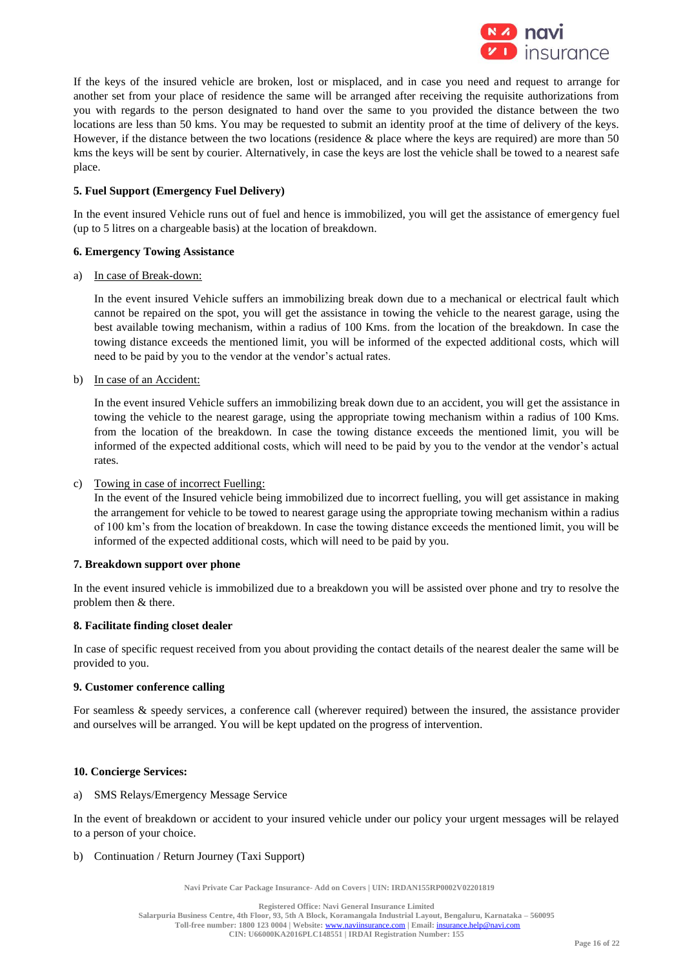

If the keys of the insured vehicle are broken, lost or misplaced, and in case you need and request to arrange for another set from your place of residence the same will be arranged after receiving the requisite authorizations from you with regards to the person designated to hand over the same to you provided the distance between the two locations are less than 50 kms. You may be requested to submit an identity proof at the time of delivery of the keys. However, if the distance between the two locations (residence & place where the keys are required) are more than 50 kms the keys will be sent by courier. Alternatively, in case the keys are lost the vehicle shall be towed to a nearest safe place.

# **5. Fuel Support (Emergency Fuel Delivery)**

In the event insured Vehicle runs out of fuel and hence is immobilized, you will get the assistance of emergency fuel (up to 5 litres on a chargeable basis) at the location of breakdown.

# **6. Emergency Towing Assistance**

### a) In case of Break-down:

In the event insured Vehicle suffers an immobilizing break down due to a mechanical or electrical fault which cannot be repaired on the spot, you will get the assistance in towing the vehicle to the nearest garage, using the best available towing mechanism, within a radius of 100 Kms. from the location of the breakdown. In case the towing distance exceeds the mentioned limit, you will be informed of the expected additional costs, which will need to be paid by you to the vendor at the vendor's actual rates.

b) In case of an Accident:

In the event insured Vehicle suffers an immobilizing break down due to an accident, you will get the assistance in towing the vehicle to the nearest garage, using the appropriate towing mechanism within a radius of 100 Kms. from the location of the breakdown. In case the towing distance exceeds the mentioned limit, you will be informed of the expected additional costs, which will need to be paid by you to the vendor at the vendor's actual rates.

#### c) Towing in case of incorrect Fuelling:

In the event of the Insured vehicle being immobilized due to incorrect fuelling, you will get assistance in making the arrangement for vehicle to be towed to nearest garage using the appropriate towing mechanism within a radius of 100 km's from the location of breakdown. In case the towing distance exceeds the mentioned limit, you will be informed of the expected additional costs, which will need to be paid by you.

#### **7. Breakdown support over phone**

In the event insured vehicle is immobilized due to a breakdown you will be assisted over phone and try to resolve the problem then & there.

#### **8. Facilitate finding closet dealer**

In case of specific request received from you about providing the contact details of the nearest dealer the same will be provided to you.

# **9. Customer conference calling**

For seamless & speedy services, a conference call (wherever required) between the insured, the assistance provider and ourselves will be arranged. You will be kept updated on the progress of intervention.

# **10. Concierge Services:**

#### a) SMS Relays/Emergency Message Service

In the event of breakdown or accident to your insured vehicle under our policy your urgent messages will be relayed to a person of your choice.

#### b) Continuation / Return Journey (Taxi Support)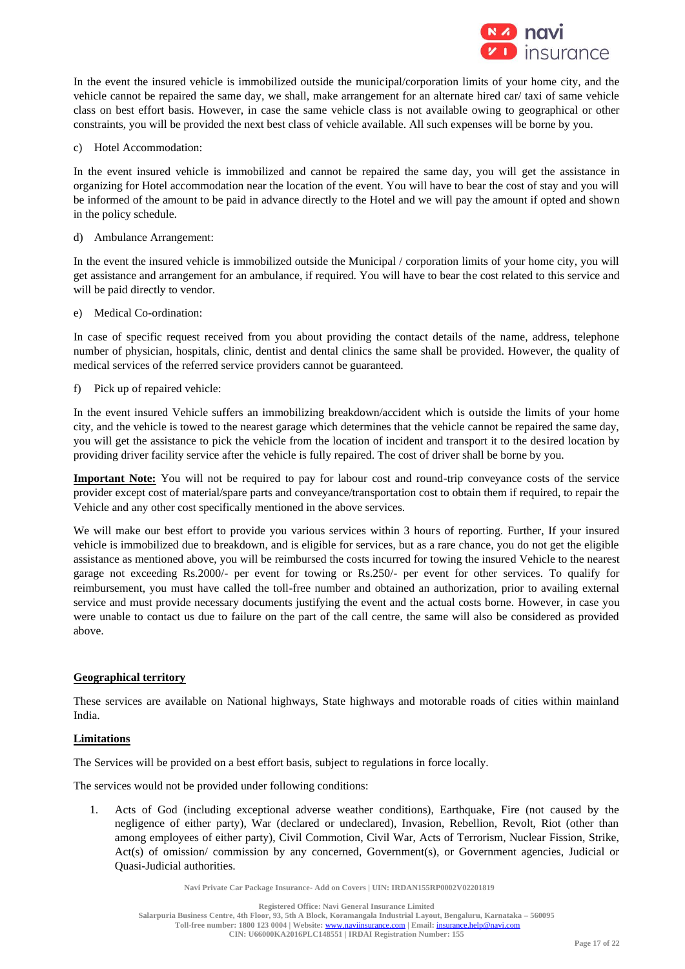

In the event the insured vehicle is immobilized outside the municipal/corporation limits of your home city, and the vehicle cannot be repaired the same day, we shall, make arrangement for an alternate hired car/ taxi of same vehicle class on best effort basis. However, in case the same vehicle class is not available owing to geographical or other constraints, you will be provided the next best class of vehicle available. All such expenses will be borne by you.

c) Hotel Accommodation:

In the event insured vehicle is immobilized and cannot be repaired the same day, you will get the assistance in organizing for Hotel accommodation near the location of the event. You will have to bear the cost of stay and you will be informed of the amount to be paid in advance directly to the Hotel and we will pay the amount if opted and shown in the policy schedule.

d) Ambulance Arrangement:

In the event the insured vehicle is immobilized outside the Municipal / corporation limits of your home city, you will get assistance and arrangement for an ambulance, if required. You will have to bear the cost related to this service and will be paid directly to vendor.

e) Medical Co-ordination:

In case of specific request received from you about providing the contact details of the name, address, telephone number of physician, hospitals, clinic, dentist and dental clinics the same shall be provided. However, the quality of medical services of the referred service providers cannot be guaranteed.

f) Pick up of repaired vehicle:

In the event insured Vehicle suffers an immobilizing breakdown/accident which is outside the limits of your home city, and the vehicle is towed to the nearest garage which determines that the vehicle cannot be repaired the same day, you will get the assistance to pick the vehicle from the location of incident and transport it to the desired location by providing driver facility service after the vehicle is fully repaired. The cost of driver shall be borne by you.

**Important Note:** You will not be required to pay for labour cost and round-trip conveyance costs of the service provider except cost of material/spare parts and conveyance/transportation cost to obtain them if required, to repair the Vehicle and any other cost specifically mentioned in the above services.

We will make our best effort to provide you various services within 3 hours of reporting. Further, If your insured vehicle is immobilized due to breakdown, and is eligible for services, but as a rare chance, you do not get the eligible assistance as mentioned above, you will be reimbursed the costs incurred for towing the insured Vehicle to the nearest garage not exceeding Rs.2000/- per event for towing or Rs.250/- per event for other services. To qualify for reimbursement, you must have called the toll-free number and obtained an authorization, prior to availing external service and must provide necessary documents justifying the event and the actual costs borne. However, in case you were unable to contact us due to failure on the part of the call centre, the same will also be considered as provided above.

# **Geographical territory**

These services are available on National highways, State highways and motorable roads of cities within mainland India.

# **Limitations**

The Services will be provided on a best effort basis, subject to regulations in force locally.

The services would not be provided under following conditions:

1. Acts of God (including exceptional adverse weather conditions), Earthquake, Fire (not caused by the negligence of either party), War (declared or undeclared), Invasion, Rebellion, Revolt, Riot (other than among employees of either party), Civil Commotion, Civil War, Acts of Terrorism, Nuclear Fission, Strike, Act(s) of omission/ commission by any concerned, Government(s), or Government agencies, Judicial or Quasi-Judicial authorities.

**Navi Private Car Package Insurance- Add on Covers | UIN: IRDAN155RP0002V02201819**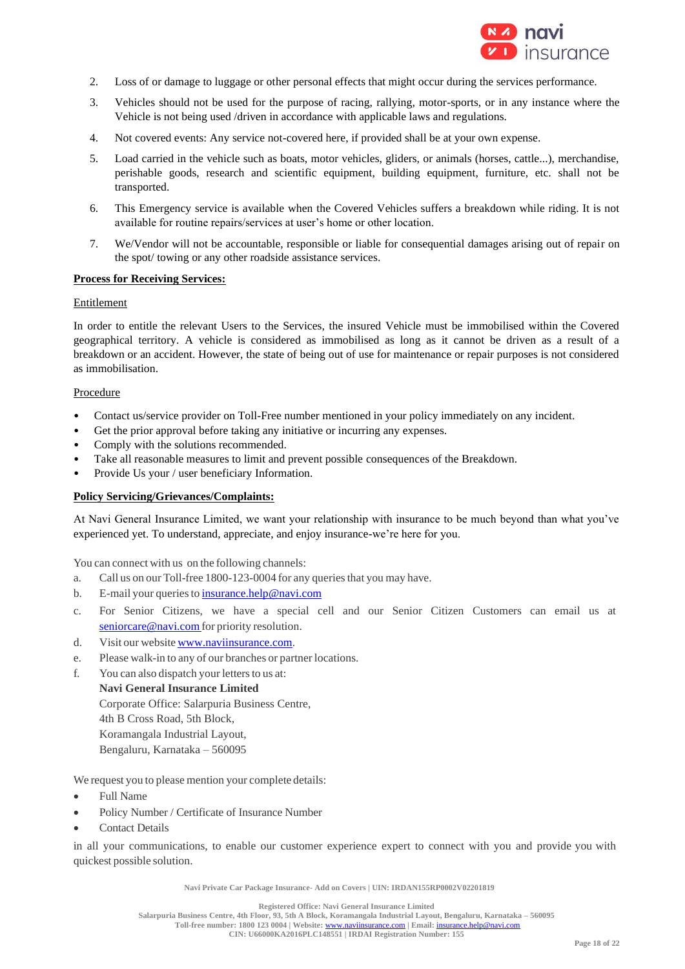

- 2. Loss of or damage to luggage or other personal effects that might occur during the services performance.
- 3. Vehicles should not be used for the purpose of racing, rallying, motor-sports, or in any instance where the Vehicle is not being used /driven in accordance with applicable laws and regulations.
- 4. Not covered events: Any service not-covered here, if provided shall be at your own expense.
- 5. Load carried in the vehicle such as boats, motor vehicles, gliders, or animals (horses, cattle...), merchandise, perishable goods, research and scientific equipment, building equipment, furniture, etc. shall not be transported.
- 6. This Emergency service is available when the Covered Vehicles suffers a breakdown while riding. It is not available for routine repairs/services at user's home or other location.
- 7. We/Vendor will not be accountable, responsible or liable for consequential damages arising out of repair on the spot/ towing or any other roadside assistance services.

### **Process for Receiving Services:**

### Entitlement

In order to entitle the relevant Users to the Services, the insured Vehicle must be immobilised within the Covered geographical territory. A vehicle is considered as immobilised as long as it cannot be driven as a result of a breakdown or an accident. However, the state of being out of use for maintenance or repair purposes is not considered as immobilisation.

### **Procedure**

- Contact us/service provider on Toll-Free number mentioned in your policy immediately on any incident.
- Get the prior approval before taking any initiative or incurring any expenses.
- Comply with the solutions recommended.
- Take all reasonable measures to limit and prevent possible consequences of the Breakdown.
- Provide Us your / user beneficiary Information.

# **Policy Servicing/Grievances/Complaints:**

At Navi General Insurance Limited, we want your relationship with insurance to be much beyond than what you've experienced yet. To understand, appreciate, and enjoy insurance-we're here for you.

You can connect with us on the following channels:

- a. Call us on our Toll-free 1800-123-0004 for any queriesthat you may have.
- b. E-mail your queries to insurance.help@navi.com
- c. For Senior Citizens, we have a special cell and our Senior Citizen Customers can email us at [seniorcare@navi.com](mailto:seniorcare@cocogeneralinsurance.com) for priority resolution.
- d. Visit our website www.naviinsurance.com.
- e. Please walk-in to any of our branches or partner locations.
- f. You can also dispatch your letters to us at: **Navi General Insurance Limited** Corporate Office: Salarpuria Business Centre, 4th B Cross Road, 5th Block, Koramangala Industrial Layout, Bengaluru, Karnataka – 560095

We request you to please mention your complete details:

- Full Name
- Policy Number / Certificate of Insurance Number
- **Contact Details**

in all your communications, to enable our customer experience expert to connect with you and provide you with quickest possible solution.

**Navi Private Car Package Insurance- Add on Covers | UIN: IRDAN155RP0002V02201819**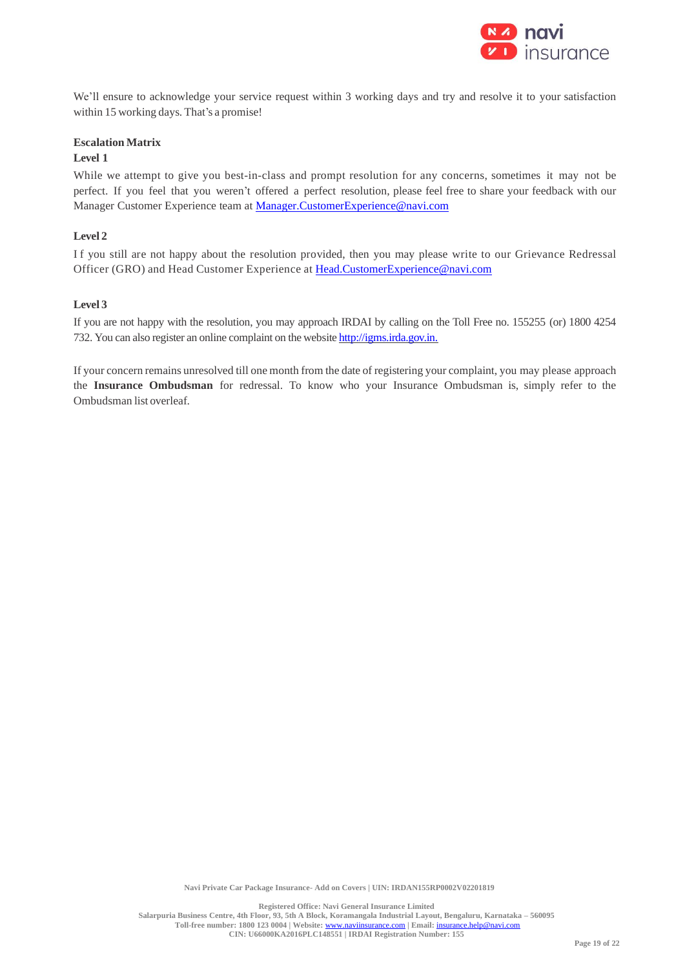

We'll ensure to acknowledge your service request within 3 working days and try and resolve it to your satisfaction within 15 working days. That's a promise!

# **Escalation Matrix**

# **Level 1**

While we attempt to give you best-in-class and prompt resolution for any concerns, sometimes it may not be perfect. If you feel that you weren't offered a perfect resolution, please feel free to share your feedback with our Manager Customer Experience team at [Manager.CustomerExperience@navi.com](mailto:Manager.CustomerExperience@navi.com)

# **Level 2**

I f you still are not happy about the resolution provided, then you may please write to our Grievance Redressal Officer (GRO) and Head Customer Experience at [Head.CustomerExperience@navi.com](mailto:Head.CustomerExperience@cocogeneralinsurance.com)

# **Level 3**

If you are not happy with the resolution, you may approach IRDAI by calling on the Toll Free no. 155255 (or) 1800 4254 732. You can also register an online complaint on the website [http://igms.irda.gov.in.](http://igms.irda.gov.in/)

If your concern remains unresolved till one month from the date of registering your complaint, you may please approach the **Insurance Ombudsman** for redressal. To know who your Insurance Ombudsman is, simply refer to the Ombudsman list overleaf.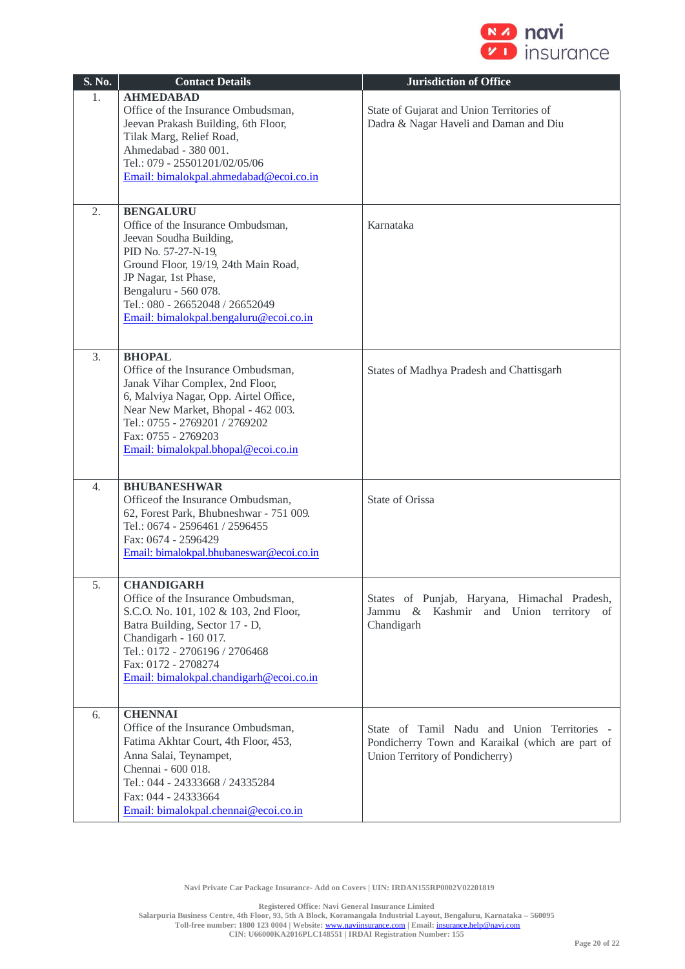

| S. No. | <b>Contact Details</b>                                                                                                                                                                                                                                                        | <b>Jurisdiction of Office</b>                                                                                                      |
|--------|-------------------------------------------------------------------------------------------------------------------------------------------------------------------------------------------------------------------------------------------------------------------------------|------------------------------------------------------------------------------------------------------------------------------------|
| 1.     | <b>AHMEDABAD</b><br>Office of the Insurance Ombudsman,<br>Jeevan Prakash Building, 6th Floor,<br>Tilak Marg, Relief Road,<br>Ahmedabad - 380 001.<br>Tel.: 079 - 25501201/02/05/06<br>Email: bimalokpal.ahmedabad@ecoi.co.in                                                  | State of Gujarat and Union Territories of<br>Dadra & Nagar Haveli and Daman and Diu                                                |
| 2.     | <b>BENGALURU</b><br>Office of the Insurance Ombudsman,<br>Jeevan Soudha Building,<br>PID No. 57-27-N-19,<br>Ground Floor, 19/19, 24th Main Road,<br>JP Nagar, 1st Phase,<br>Bengaluru - 560 078.<br>Tel.: 080 - 26652048 / 26652049<br>Email: bimalokpal.bengaluru@ecoi.co.in | Karnataka                                                                                                                          |
| 3.     | <b>BHOPAL</b><br>Office of the Insurance Ombudsman,<br>Janak Vihar Complex, 2nd Floor,<br>6, Malviya Nagar, Opp. Airtel Office,<br>Near New Market, Bhopal - 462 003.<br>Tel.: 0755 - 2769201 / 2769202<br>Fax: 0755 - 2769203<br>Email: bimalokpal.bhopal@ecoi.co.in         | States of Madhya Pradesh and Chattisgarh                                                                                           |
| 4.     | <b>BHUBANESHWAR</b><br>Officeof the Insurance Ombudsman,<br>62, Forest Park, Bhubneshwar - 751 009.<br>Tel.: 0674 - 2596461 / 2596455<br>Fax: 0674 - 2596429<br>Email: bimalokpal.bhubaneswar@ecoi.co.in                                                                      | State of Orissa                                                                                                                    |
| 5.     | <b>CHANDIGARH</b><br>Office of the Insurance Ombudsman,<br>S.C.O. No. 101, 102 & 103, 2nd Floor,<br>Batra Building, Sector 17 - D,<br>Chandigarh - 160 017.<br>Tel.: 0172 - 2706196 / 2706468<br>Fax: 0172 - 2708274<br>Email: bimalokpal.chandigarh@ecoi.co.in               | States of Punjab, Haryana, Himachal Pradesh,<br>Jammu & Kashmir and Union territory of<br>Chandigarh                               |
| 6.     | <b>CHENNAI</b><br>Office of the Insurance Ombudsman,<br>Fatima Akhtar Court, 4th Floor, 453,<br>Anna Salai, Teynampet,<br>Chennai - 600 018.<br>Tel.: 044 - 24333668 / 24335284<br>Fax: 044 - 24333664<br>Email: bimalokpal.chennai@ecoi.co.in                                | State of Tamil Nadu and Union Territories -<br>Pondicherry Town and Karaikal (which are part of<br>Union Territory of Pondicherry) |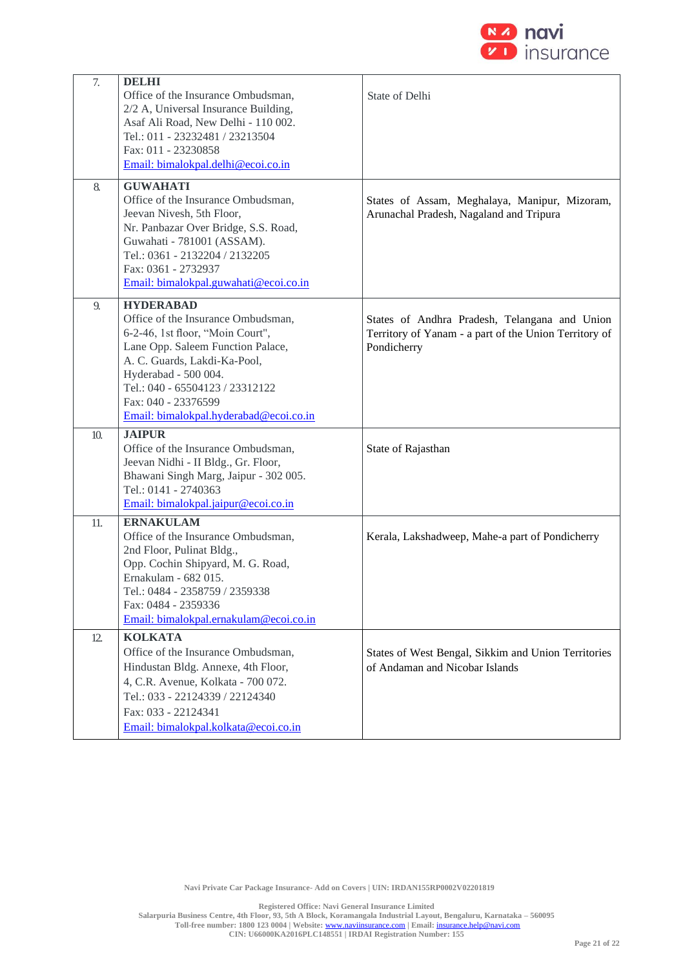

| 7.  | <b>DELHI</b><br>Office of the Insurance Ombudsman,<br>2/2 A, Universal Insurance Building,<br>Asaf Ali Road, New Delhi - 110 002.<br>Tel.: 011 - 23232481 / 23213504<br>Fax: 011 - 23230858<br>Email: bimalokpal.delhi@ecoi.co.in                                                           | State of Delhi                                                                                                        |
|-----|---------------------------------------------------------------------------------------------------------------------------------------------------------------------------------------------------------------------------------------------------------------------------------------------|-----------------------------------------------------------------------------------------------------------------------|
| 8.  | <b>GUWAHATI</b><br>Office of the Insurance Ombudsman,<br>Jeevan Nivesh, 5th Floor,<br>Nr. Panbazar Over Bridge, S.S. Road,<br>Guwahati - 781001 (ASSAM).<br>Tel.: 0361 - 2132204 / 2132205<br>Fax: 0361 - 2732937<br>Email: bimalokpal.guwahati@ecoi.co.in                                  | States of Assam, Meghalaya, Manipur, Mizoram,<br>Arunachal Pradesh, Nagaland and Tripura                              |
| 9.  | <b>HYDERABAD</b><br>Office of the Insurance Ombudsman,<br>6-2-46, 1st floor, "Moin Court",<br>Lane Opp. Saleem Function Palace,<br>A. C. Guards, Lakdi-Ka-Pool,<br>Hyderabad - 500 004.<br>Tel.: 040 - 65504123 / 23312122<br>Fax: 040 - 23376599<br>Email: bimalokpal.hyderabad@ecoi.co.in | States of Andhra Pradesh, Telangana and Union<br>Territory of Yanam - a part of the Union Territory of<br>Pondicherry |
| 10. | <b>JAIPUR</b><br>Office of the Insurance Ombudsman,<br>Jeevan Nidhi - II Bldg., Gr. Floor,<br>Bhawani Singh Marg, Jaipur - 302 005.<br>Tel.: 0141 - 2740363<br>Email: bimalokpal.jaipur@ecoi.co.in                                                                                          | State of Rajasthan                                                                                                    |
| 11. | <b>ERNAKULAM</b><br>Office of the Insurance Ombudsman,<br>2nd Floor, Pulinat Bldg.,<br>Opp. Cochin Shipyard, M. G. Road,<br>Ernakulam - 682 015.<br>Tel.: 0484 - 2358759 / 2359338<br>Fax: 0484 - 2359336<br>Email: bimalokpal.ernakulam@ecoi.co.in                                         | Kerala, Lakshadweep, Mahe-a part of Pondicherry                                                                       |
| 12. | <b>KOLKATA</b><br>Office of the Insurance Ombudsman,<br>Hindustan Bldg. Annexe, 4th Floor,<br>4, C.R. Avenue, Kolkata - 700 072.<br>Tel.: 033 - 22124339 / 22124340<br>Fax: 033 - 22124341<br>Email: bimalokpal.kolkata@ecoi.co.in                                                          | States of West Bengal, Sikkim and Union Territories<br>of Andaman and Nicobar Islands                                 |